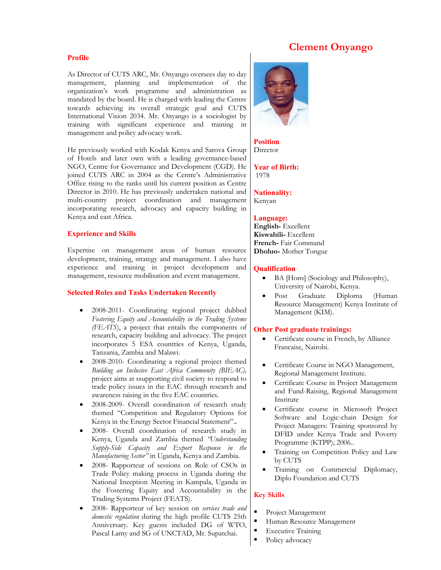# **Clement Onyango**

# **Profile**

As Director of CUTS ARC, Mr. Onyango oversees day to day management, planning and implementation of the organization's work programme and administration as mandated by the board. He is charged with leading the Centre towards achieving its overall strategic goal and CUTS International Vision 2034. Mr. Onyango is a sociologist by training with significant experience and training in management and policy advocacy work.

He previously worked with Kodak Kenya and Sarova Group of Hotels and later own with a leading governance-based NGO, Centre for Governance and Development (CGD). He joined CUTS ARC in 2004 as the Centre's Administrative Office rising to the ranks until his current position as Centre Director in 2010. He has previously undertaken national and multi-country project coordination and management incorporating research, advocacy and capacity building in Kenya and east Africa.

## **Experience and Skills**

Expertise on management areas of human resource development, training, strategy and management. I also have experience and training in project development and management, resource mobilisation and event management.

# **Selected Roles and Tasks Undertaken Recently**

- 2008-2011- Coordinating regional project dubbed *Fostering Equity and Accountability in the Trading Systems (FEATS*), a project that entails the components of research, capacity building and advocacy. The project incorporates 5 ESA countries of Kenya, Uganda, Tanzania, Zambia and Malawi.
- 2008-2010- Coordinating a regional project themed *Building an Inclusive East Africa Community (BIEAC),* project aims at ssupporting civil society to respond to trade policy issues in the EAC through research and awareness raising in the five EAC countries.
- 2008-2009- Overall coordination of research study themed "Competition and Regulatory Options for Kenya in the Energy Sector Financial Statement".**.**
- 2008- Overall coordination of research study in Kenya, Uganda and Zambia themed *"Understanding Supply-Side Capacity and Export Response in the Manufacturing Sector"* in Uganda, Kenya and Zambia.
- 2008- Rapporteur of sessions on Role of CSOs in Trade Policy making process in Uganda during the National Inception Meeting in Kampala, Uganda in the Fostering Equity and Accountability in the Trading Systems Project (FEATS).
- 2008- Rapporteur of key session on *services trade and domestic regulation* during the high profile CUTS 25th Anniversary. Key guests included DG of WTO, Pascal Lamy and SG of UNCTAD, Mr. Supatchai.



**Position**  Director

**Year of Birth:**  1978

**Nationality:** Kenyan

#### **Language:**

**English-** Excellent **Kiswahili-** Excellent **French-** Fair Command **Dholuo-** Mother Tongue

#### **Qualification**

- BA [Hons] (Sociology and Philosophy), University of Nairobi, Kenya.
- Post Graduate Diploma (Human Resource Management) Kenya Institute of Management (KIM).

#### **Other Post graduate trainings:**

- Certificate course in French, by Alliance Francaise, Nairobi.
- Certificate Course in NGO Management, Regional Management Institute.
- Certificate Course in Project Management and Fund-Raising, Regional Management Institute
- Certificate course in Microsoft Project Software and Logic-chain Design for Project Managers: Training sponsored by DFID under Kenya Trade and Poverty Programme (KTPP); 2006..
- Training on Competition Policy and Law by CUTS
- Training on Commercial Diplomacy, Diplo Foundation and CUTS

# **Key Skills**

- Project Management
- Human Resource Management
- Executive Training
- Policy advocacy